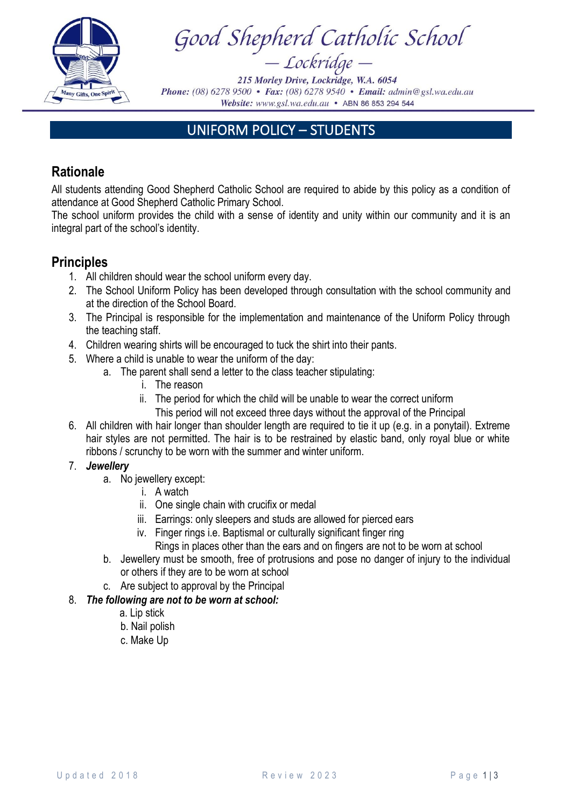

Good Shepherd Catholic School

215 Morley Drive, Lockridge, W.A. 6054 **Phone:** (08) 6278 9500 • Fax: (08) 6278 9540 • Email: admin@gsl.wa.edu.au Website: www.gsl.wa.edu.au • ABN 86 853 294 544

# UNIFORM POLICY – STUDENTS

## **Rationale**

All students attending Good Shepherd Catholic School are required to abide by this policy as a condition of attendance at Good Shepherd Catholic Primary School.

The school uniform provides the child with a sense of identity and unity within our community and it is an integral part of the school's identity.

## **Principles**

- 1. All children should wear the school uniform every day.
- 2. The School Uniform Policy has been developed through consultation with the school community and at the direction of the School Board.
- 3. The Principal is responsible for the implementation and maintenance of the Uniform Policy through the teaching staff.
- 4. Children wearing shirts will be encouraged to tuck the shirt into their pants.
- 5. Where a child is unable to wear the uniform of the day:
	- a. The parent shall send a letter to the class teacher stipulating:
		- i. The reason
		- ii. The period for which the child will be unable to wear the correct uniform
			- This period will not exceed three days without the approval of the Principal
- 6. All children with hair longer than shoulder length are required to tie it up (e.g. in a ponytail). Extreme hair styles are not permitted. The hair is to be restrained by elastic band, only royal blue or white ribbons / scrunchy to be worn with the summer and winter uniform.

## 7. *Jewellery*

- a. No jewellery except:
	- i. A watch
	- ii. One single chain with crucifix or medal
	- iii. Earrings: only sleepers and studs are allowed for pierced ears
	- iv. Finger rings i.e. Baptismal or culturally significant finger ring
		- Rings in places other than the ears and on fingers are not to be worn at school
- b. Jewellery must be smooth, free of protrusions and pose no danger of injury to the individual or others if they are to be worn at school
- c. Are subject to approval by the Principal

## 8. *The following are not to be worn at school:*

- a. Lip stick
- b. Nail polish
- c. Make Up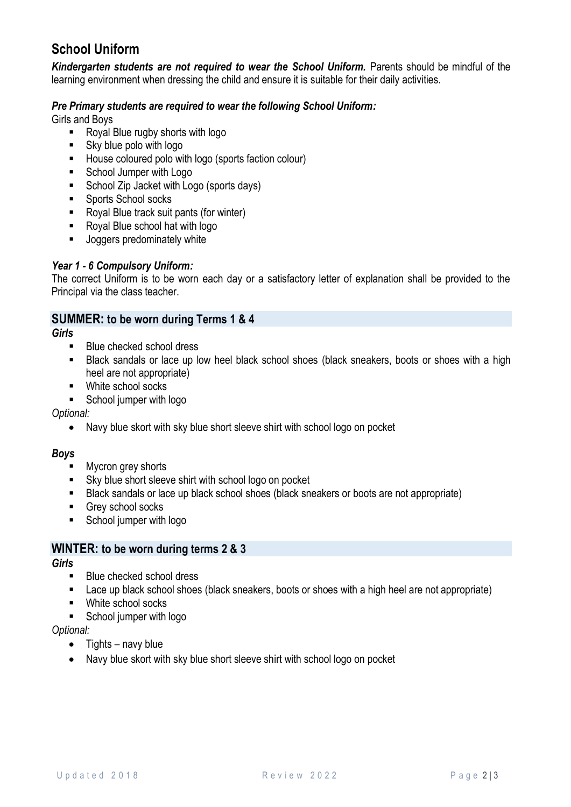# **School Uniform**

**Kindergarten students are not required to wear the School Uniform.** Parents should be mindful of the learning environment when dressing the child and ensure it is suitable for their daily activities.

## *Pre Primary students are required to wear the following School Uniform:*

Girls and Boys

- Royal Blue rugby shorts with logo
- Sky blue polo with logo
- House coloured polo with logo (sports faction colour)
- School Jumper with Logo
- School Zip Jacket with Logo (sports days)
- Sports School socks
- Royal Blue track suit pants (for winter)
- Royal Blue school hat with logo
- Joggers predominately white

## *Year 1 - 6 Compulsory Uniform:*

The correct Uniform is to be worn each day or a satisfactory letter of explanation shall be provided to the Principal via the class teacher.

## **SUMMER: to be worn during Terms 1 & 4**

*Girls* 

- Blue checked school dress
- Black sandals or lace up low heel black school shoes (black sneakers, boots or shoes with a high heel are not appropriate)
- White school socks
- School jumper with logo

*Optional:* 

• Navy blue skort with sky blue short sleeve shirt with school logo on pocket

#### *Boys*

- Mycron grey shorts
- Sky blue short sleeve shirt with school logo on pocket
- Black sandals or lace up black school shoes (black sneakers or boots are not appropriate)
- Grey school socks
- School jumper with logo

## **WINTER: to be worn during terms 2 & 3**

*Girls* 

- Blue checked school dress
- Lace up black school shoes (black sneakers, boots or shoes with a high heel are not appropriate)
- White school socks
- School jumper with logo

*Optional:* 

- Tights navy blue
- Navy blue skort with sky blue short sleeve shirt with school logo on pocket